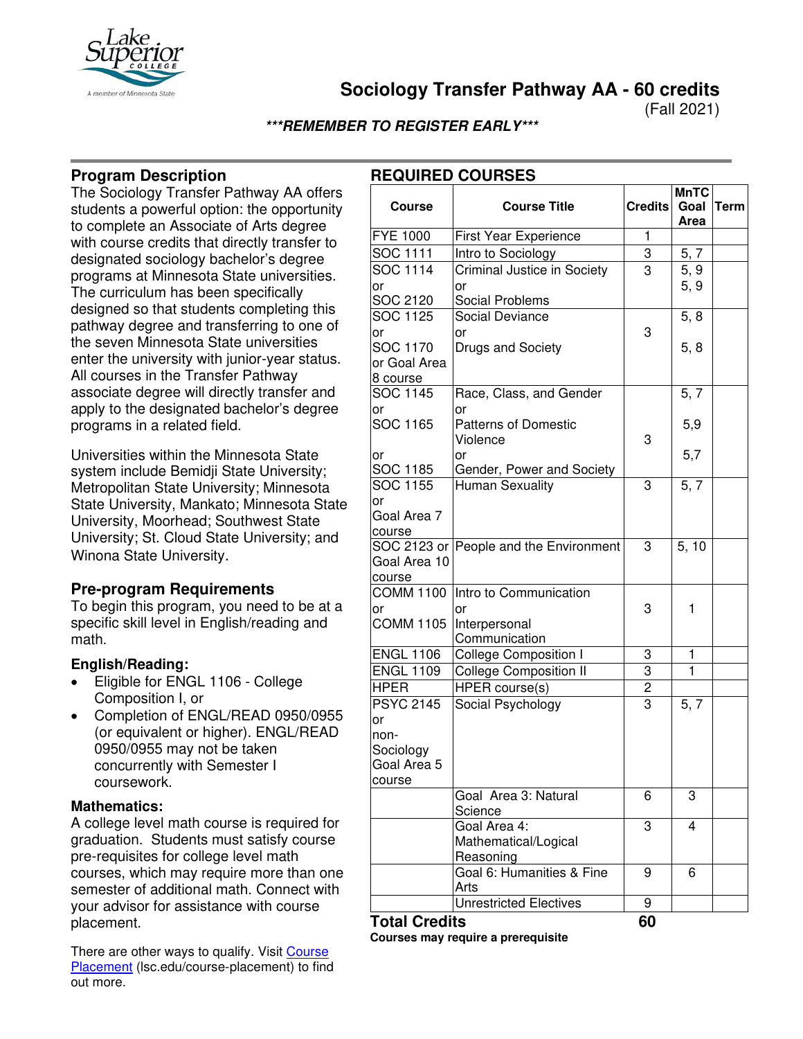

**Sociology Transfer Pathway AA - 60 credits**

(Fall 2021)

# **\*\*\*REMEMBER TO REGISTER EARLY\*\*\***

# **Program Description**

The Sociology Transfer Pathway AA offers students a powerful option: the opportunity to complete an Associate of Arts degree with course credits that directly transfer to designated sociology bachelor's degree programs at Minnesota State universities. The curriculum has been specifically designed so that students completing this pathway degree and transferring to one of the seven Minnesota State universities enter the university with junior-year status. All courses in the Transfer Pathway associate degree will directly transfer and apply to the designated bachelor's degree programs in a related field.

Universities within the Minnesota State system include Bemidji State University; Metropolitan State University; Minnesota State University, Mankato; Minnesota State University, Moorhead; Southwest State University; St. Cloud State University; and Winona State University.

# **Pre-program Requirements**

To begin this program, you need to be at a specific skill level in English/reading and math.

### **English/Reading:**

- Eligible for ENGL 1106 College Composition I, or
- Completion of ENGL/READ 0950/0955 (or equivalent or higher). ENGL/READ 0950/0955 may not be taken concurrently with Semester I coursework.

### **Mathematics:**

A college level math course is required for graduation. Students must satisfy course pre-requisites for college level math courses, which may require more than one semester of additional math. Connect with your advisor for assistance with course placement.

There are other ways to qualify. Visit Course [Placement](https://www.lsc.edu/course-placement/) (Isc.edu/course-placement) to find out more.

# **REQUIRED COURSES**

| <b>Course</b>    | <b>Course Title</b>                     | <b>Credits</b> | <b>MnTC</b><br>Goal | Term |
|------------------|-----------------------------------------|----------------|---------------------|------|
|                  |                                         |                | Area                |      |
| <b>FYE 1000</b>  | First Year Experience                   | $\mathbf{1}$   |                     |      |
| <b>SOC</b> 1111  | Intro to Sociology                      | 3              | 5, 7                |      |
| SOC 1114         | <b>Criminal Justice in Society</b>      | 3              | 5, 9                |      |
| or               | or                                      |                | 5, 9                |      |
| SOC 2120         | Social Problems                         |                |                     |      |
| SOC 1125         | <b>Social Deviance</b>                  |                | 5, 8                |      |
| or               | or                                      | 3              |                     |      |
| SOC 1170         | Drugs and Society                       |                | 5, 8                |      |
| or Goal Area     |                                         |                |                     |      |
| 8 course         |                                         |                |                     |      |
| SOC 1145         | Race, Class, and Gender                 |                | 5, 7                |      |
| or               | or                                      |                |                     |      |
| SOC 1165         | <b>Patterns of Domestic</b><br>Violence | 3              | 5,9                 |      |
| or               | or                                      |                | 5,7                 |      |
| SOC 1185         | Gender, Power and Society               |                |                     |      |
| SOC 1155         | <b>Human Sexuality</b>                  | 3              | 5, 7                |      |
| or               |                                         |                |                     |      |
| Goal Area 7      |                                         |                |                     |      |
| course           |                                         |                |                     |      |
|                  | SOC 2123 or People and the Environment  | 3              | 5, 10               |      |
| Goal Area 10     |                                         |                |                     |      |
| course           |                                         |                |                     |      |
| <b>COMM 1100</b> | Intro to Communication                  |                |                     |      |
| or               | or                                      | 3              | 1                   |      |
| <b>COMM 1105</b> | Interpersonal                           |                |                     |      |
|                  | Communication                           |                |                     |      |
| <b>ENGL 1106</b> | <b>College Composition I</b>            | 3              | 1                   |      |
| <b>ENGL 1109</b> | <b>College Composition II</b>           | 3              | $\mathbf{1}$        |      |
| <b>HPER</b>      | <b>HPER</b> course(s)                   | $\overline{2}$ |                     |      |
| <b>PSYC 2145</b> | Social Psychology                       | $\overline{3}$ | 5, 7                |      |
| or               |                                         |                |                     |      |
| non-             |                                         |                |                     |      |
| Sociology        |                                         |                |                     |      |
| Goal Area 5      |                                         |                |                     |      |
| course           |                                         |                |                     |      |
|                  | Goal Area 3: Natural<br>Science         | 6              | 3                   |      |
|                  | Goal Area 4:                            | 3              | 4                   |      |
|                  | Mathematical/Logical                    |                |                     |      |
|                  | Reasoning                               |                |                     |      |
|                  | Goal 6: Humanities & Fine<br>Arts       | 9              | 6                   |      |
|                  | <b>Unrestricted Electives</b>           | 9              |                     |      |
|                  |                                         |                |                     |      |

### **Total Credits 60**

**Courses may require a prerequisite**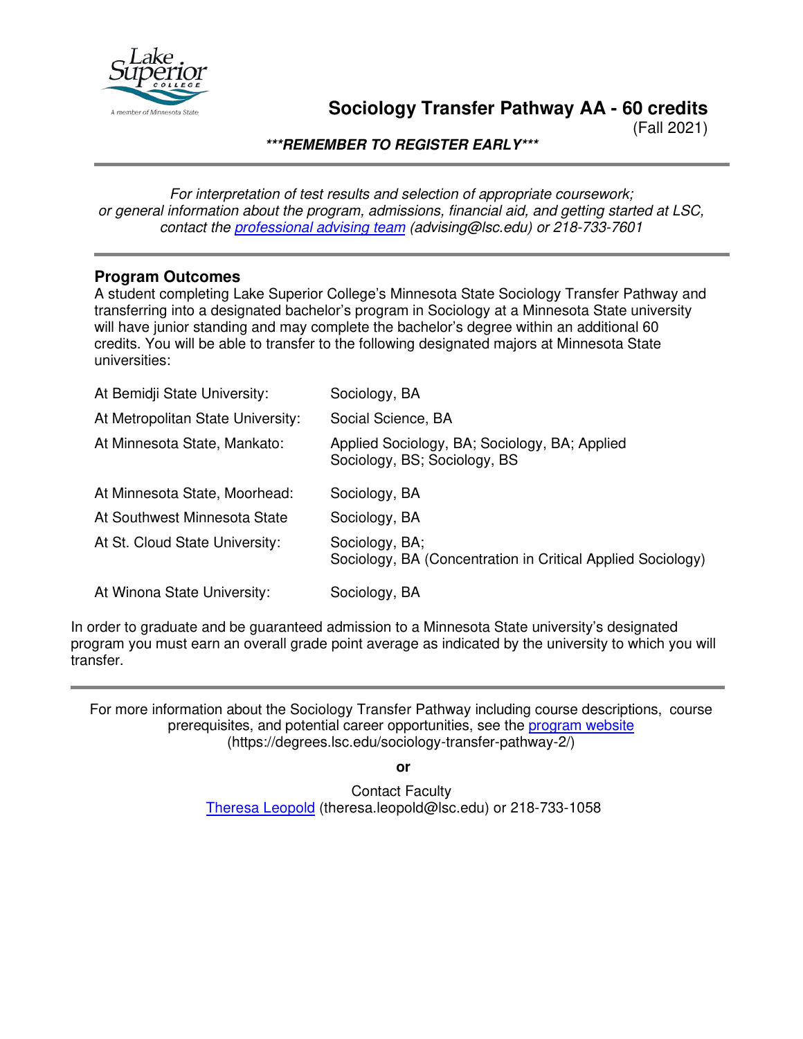

# **Sociology Transfer Pathway AA - 60 credits**

(Fall 2021)

**\*\*\*REMEMBER TO REGISTER EARLY\*\*\***

*For interpretation of test results and selection of appropriate coursework; or general information about the program, admissions, financial aid, and getting started at LSC, contact the [professional advising team](mailto:advising@lsc.edu) (advising@lsc.edu) or 218-733-7601*

## **Program Outcomes**

A student completing Lake Superior College's Minnesota State Sociology Transfer Pathway and transferring into a designated bachelor's program in Sociology at a Minnesota State university will have junior standing and may complete the bachelor's degree within an additional 60 credits. You will be able to transfer to the following designated majors at Minnesota State universities:

| At Bemidji State University:      | Sociology, BA                                                                 |
|-----------------------------------|-------------------------------------------------------------------------------|
| At Metropolitan State University: | Social Science, BA                                                            |
| At Minnesota State, Mankato:      | Applied Sociology, BA; Sociology, BA; Applied<br>Sociology, BS; Sociology, BS |
| At Minnesota State, Moorhead:     | Sociology, BA                                                                 |
| At Southwest Minnesota State      | Sociology, BA                                                                 |
| At St. Cloud State University:    | Sociology, BA;<br>Sociology, BA (Concentration in Critical Applied Sociology) |
| At Winona State University:       | Sociology, BA                                                                 |

In order to graduate and be guaranteed admission to a Minnesota State university's designated program you must earn an overall grade point average as indicated by the university to which you will transfer.

For more information about the Sociology Transfer Pathway including course descriptions, course prerequisites, and potential career opportunities, see the [program website](https://degrees.lsc.edu/sociology-transfer-pathway-2/) (https://degrees.lsc.edu/sociology-transfer-pathway-2/)

**or**

Contact Faculty [Theresa Leopold](mailto:theresa.leopold@lsc.edu) (theresa.leopold@lsc.edu) or 218-733-1058